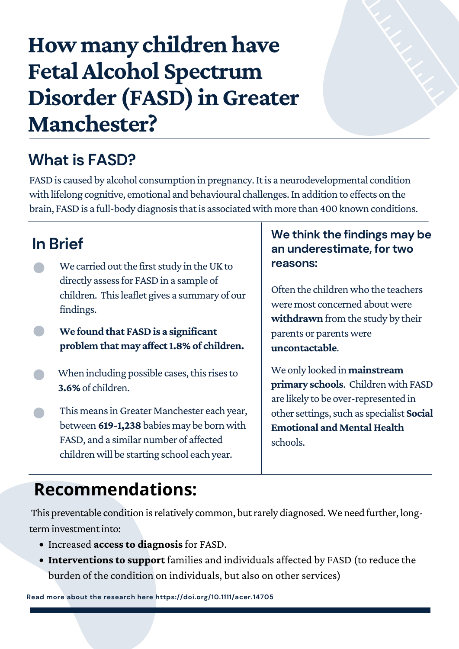# **How many childrenhave FetalAlcohol Spectrum Disorder (FASD)inGreater Manchester?**

- Increased **access to diagnosis** for FASD.
- **Interventions to support** families and individuals affected by FASD (to reduce the burden of the condition on individuals, but also on other services)

Often the children who the teachers were most concerned about were **withdrawn** from the study by their parents or parentswere

- When including possible cases, this rises to **3.6%**of children.
- This means in Greater Manchester each year, between **619-1,238**babies may be bornwith FASD, and a similar number of affected children will be starting school each year.

We only looked in**mainstream primary schools**. Children with FASD are likely to be over-represented in other settings, such as specialist **Social Emotional and Mental Health** schools.

- We carried out the first study in the UK to **reasons:** directly assess for FASD in a sample of children. Thisleaflet gives a summary of our findings.
- **We found that FASDis a significant problem that may affect1.8%of children.**

#### **uncontactable**.

### **We think the findings may be an underestimate, for two**

#### **What is FASD?**

FASD is caused by alcohol consumption in pregnancy. It is a neurodevelopmental condition with lifelong cognitive, emotional and behavioural challenges. In addition to effects on the brain, FASD is a full-body diagnosis that is associated with more than 400 known conditions.

**Read more about the research here https://doi.org/10.1111/acer.14705**

#### **Recommendations:**

This preventable condition is relatively common, but rarely diagnosed. We need further, longterm investment into:

#### **In Brief**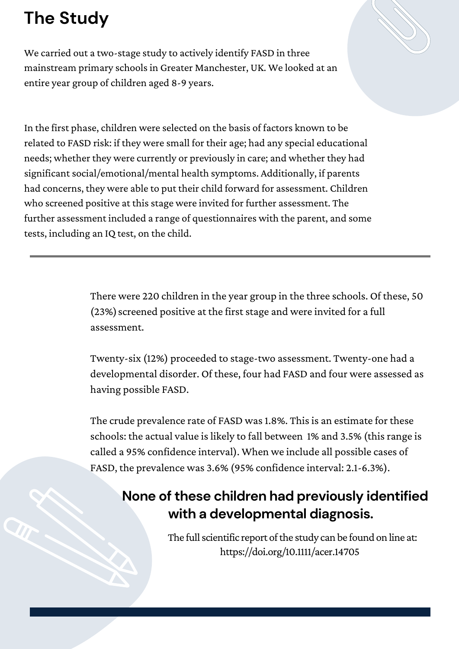### **The Study**

We carried out a two-stage study to actively identify FASD in three mainstream primary schoolsin Greater Manchester, UK. We looked at an entire year group of children aged 8-9 years.

In the first phase, children were selected on the basis of factors known to be related to FASD risk: if they were small for their age; had any special educational needs; whether they were currently or previously in care; and whether they had significant social/emotional/mental health symptoms. Additionally, if parents had concerns, they were able to put their child forward for assessment. Children who screened positive at this stage were invited for further assessment. The further assessment included a range of questionnaires with the parent, and some tests, including an IQ test, on the child.

> The crude prevalence rate of FASD was 1.8%. This is an estimate for these schools: the actual value is likely to fall between 1% and 3.5% (this range is called a 95% confidence interval). When we include all possible cases of FASD, the prevalence was 3.6% (95% confidence interval: 2.1-6.3%).

> > The full scientific report of the study can be found on line at: https://doi.org/10.1111/acer.14705

There were 220 children in the year group in the three schools. Of these, 50 (23%) screened positive at the first stage and were invited for a full assessment.

Twenty-six (12%) proceeded to stage-two assessment. Twenty-one had a developmental disorder. Of these, four had FASD and four were assessed as having possible FASD.

#### **None of these children had previously identified with a developmental diagnosis.**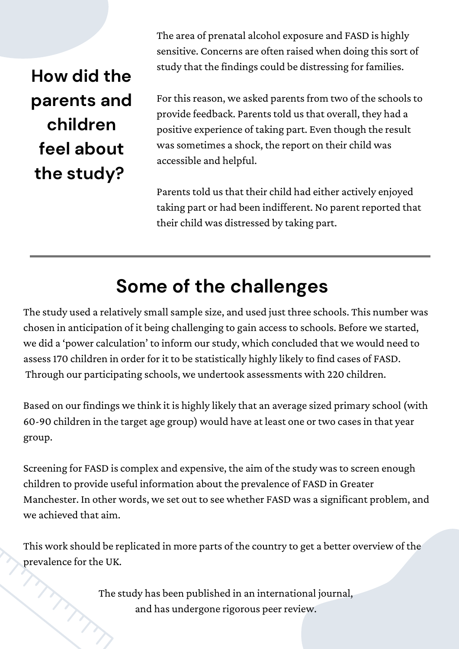The area of prenatal alcohol exposure and FASD is highly sensitive. Concerns are often raised when doing this sort of study that the findings could be distressing for families.

For this reason, we asked parents from two of the schools to provide feedback. Parents told us that overall, they had a positive experience of taking part. Even though the result was sometimes a shock, the report on their child was accessible and helpful.

Parents told us that their child had either actively enjoyed taking part or had been indifferent. No parent reported that their child was distressed by taking part.

The study used a relatively small sample size, and used just three schools. This number was chosen in anticipation of it being challenging to gain accessto schools. Before we started, we did a 'power calculation' to inform our study, which concluded that we would need to assess170 children in order for it to be statistically highly likely to find cases of FASD. Through our participating schools, we undertook assessments with 220 children.

### **Some of the challenges**

Screening for FASD is complex and expensive, the aim of the study was to screen enough children to provide useful information about the prevalence of FASD in Greater Manchester. In other words, we set out to see whether FASD was a significant problem, and we achieved that aim.

Based on our findings we think it is highly likely that an average sized primary school (with 60-90 children in the target age group) would have at least one or two casesin that year group.

This work should be replicated in more parts of the country to get a better overview of the prevalence for the UK.

> The study has been published in an international journal, and has undergone rigorous peer review.

**How did the parents and children feel about the study?**